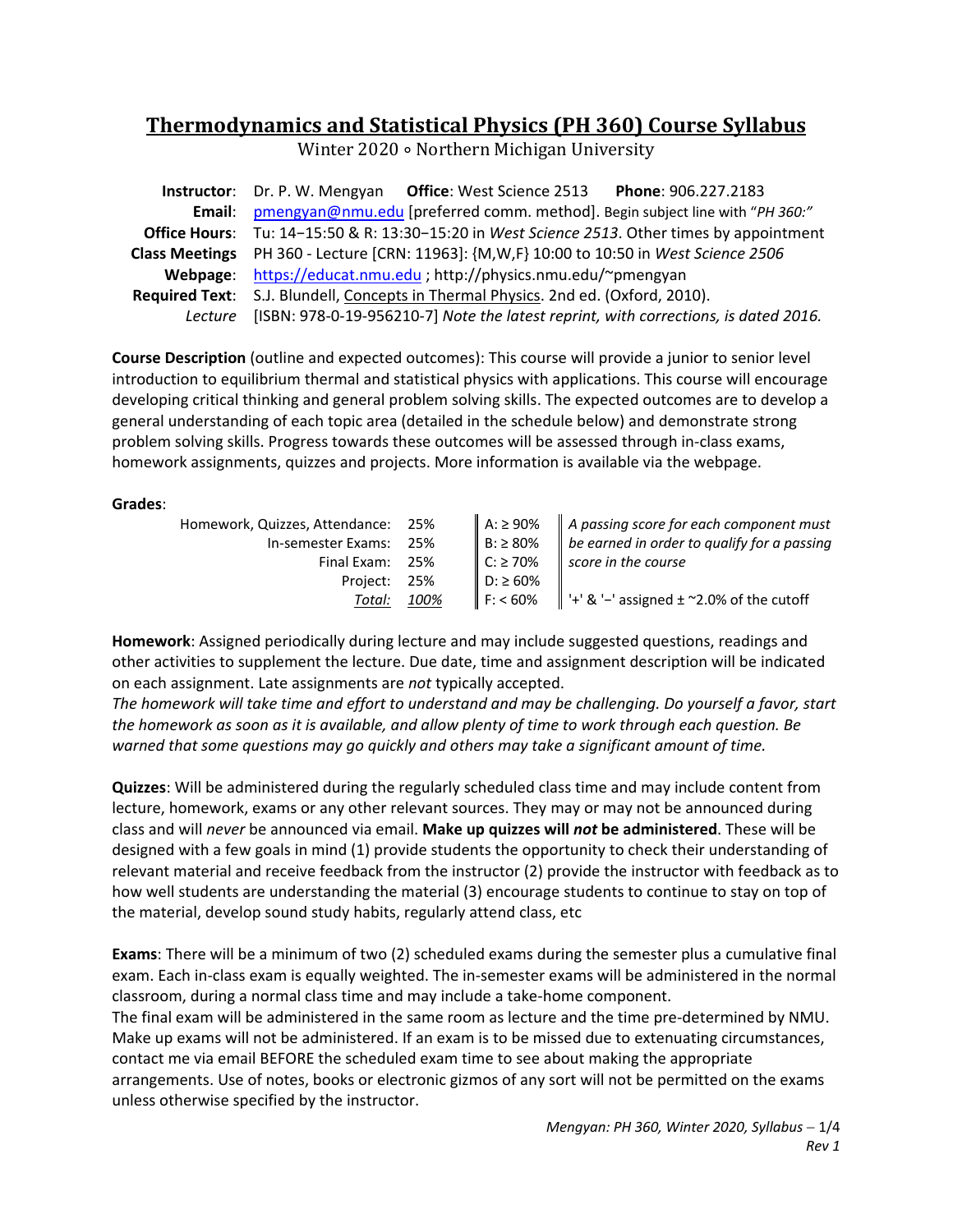# **Thermodynamics and Statistical Physics (PH 360) Course Syllabus**

Winter 2020 ∘ Northern Michigan University

|                       | Instructor: Dr. P. W. Mengyan Office: West Science 2513 Phone: 906.227.2183                         |  |  |
|-----------------------|-----------------------------------------------------------------------------------------------------|--|--|
| Email:                | pmengyan@nmu.edu [preferred comm. method]. Begin subject line with "PH 360:"                        |  |  |
|                       | <b>Office Hours:</b> Tu: 14-15:50 & R: 13:30-15:20 in West Science 2513. Other times by appointment |  |  |
| <b>Class Meetings</b> | PH 360 - Lecture [CRN: 11963]: {M,W,F} 10:00 to 10:50 in West Science 2506                          |  |  |
|                       | Webpage: https://educat.nmu.edu ; http://physics.nmu.edu/~pmengyan                                  |  |  |
|                       | Required Text: S.J. Blundell, Concepts in Thermal Physics. 2nd ed. (Oxford, 2010).                  |  |  |
|                       | Lecture [ISBN: 978-0-19-956210-7] Note the latest reprint, with corrections, is dated 2016.         |  |  |

**Course Description** (outline and expected outcomes): This course will provide a junior to senior level introduction to equilibrium thermal and statistical physics with applications. This course will encourage developing critical thinking and general problem solving skills. The expected outcomes are to develop a general understanding of each topic area (detailed in the schedule below) and demonstrate strong problem solving skills. Progress towards these outcomes will be assessed through in‐class exams, homework assignments, quizzes and projects. More information is available via the webpage.

## **Grades**:

| Homework, Quizzes, Attendance: 25% |      | $A: \ge 90\%$  | $\parallel$ A passing score for each component must                           |
|------------------------------------|------|----------------|-------------------------------------------------------------------------------|
| In-semester Exams: 25%             |      | $B: \geq 80\%$ | $\parallel$ be earned in order to qualify for a passing                       |
| Final Exam: 25%                    |      | $C: \geq 70\%$ | score in the course                                                           |
| Project: 25%                       |      | $D: \ge 60\%$  |                                                                               |
| Total:                             | 100% |                | $\parallel$ F: < 60% $\parallel$ '+' & '-' assigned $\pm$ ~2.0% of the cutoff |

**Homework**: Assigned periodically during lecture and may include suggested questions, readings and other activities to supplement the lecture. Due date, time and assignment description will be indicated on each assignment. Late assignments are *not* typically accepted.

*The homework will take time and effort to understand and may be challenging. Do yourself a favor, start the homework as soon as it is available, and allow plenty of time to work through each question. Be warned that some questions may go quickly and others may take a significant amount of time.*

**Quizzes**: Will be administered during the regularly scheduled class time and may include content from lecture, homework, exams or any other relevant sources. They may or may not be announced during class and will *never* be announced via email. **Make up quizzes will** *not* **be administered**. These will be designed with a few goals in mind (1) provide students the opportunity to check their understanding of relevant material and receive feedback from the instructor (2) provide the instructor with feedback as to how well students are understanding the material (3) encourage students to continue to stay on top of the material, develop sound study habits, regularly attend class, etc

**Exams**: There will be a minimum of two (2) scheduled exams during the semester plus a cumulative final exam. Each in‐class exam is equally weighted. The in‐semester exams will be administered in the normal classroom, during a normal class time and may include a take‐home component. The final exam will be administered in the same room as lecture and the time pre‐determined by NMU. Make up exams will not be administered. If an exam is to be missed due to extenuating circumstances, contact me via email BEFORE the scheduled exam time to see about making the appropriate arrangements. Use of notes, books or electronic gizmos of any sort will not be permitted on the exams unless otherwise specified by the instructor.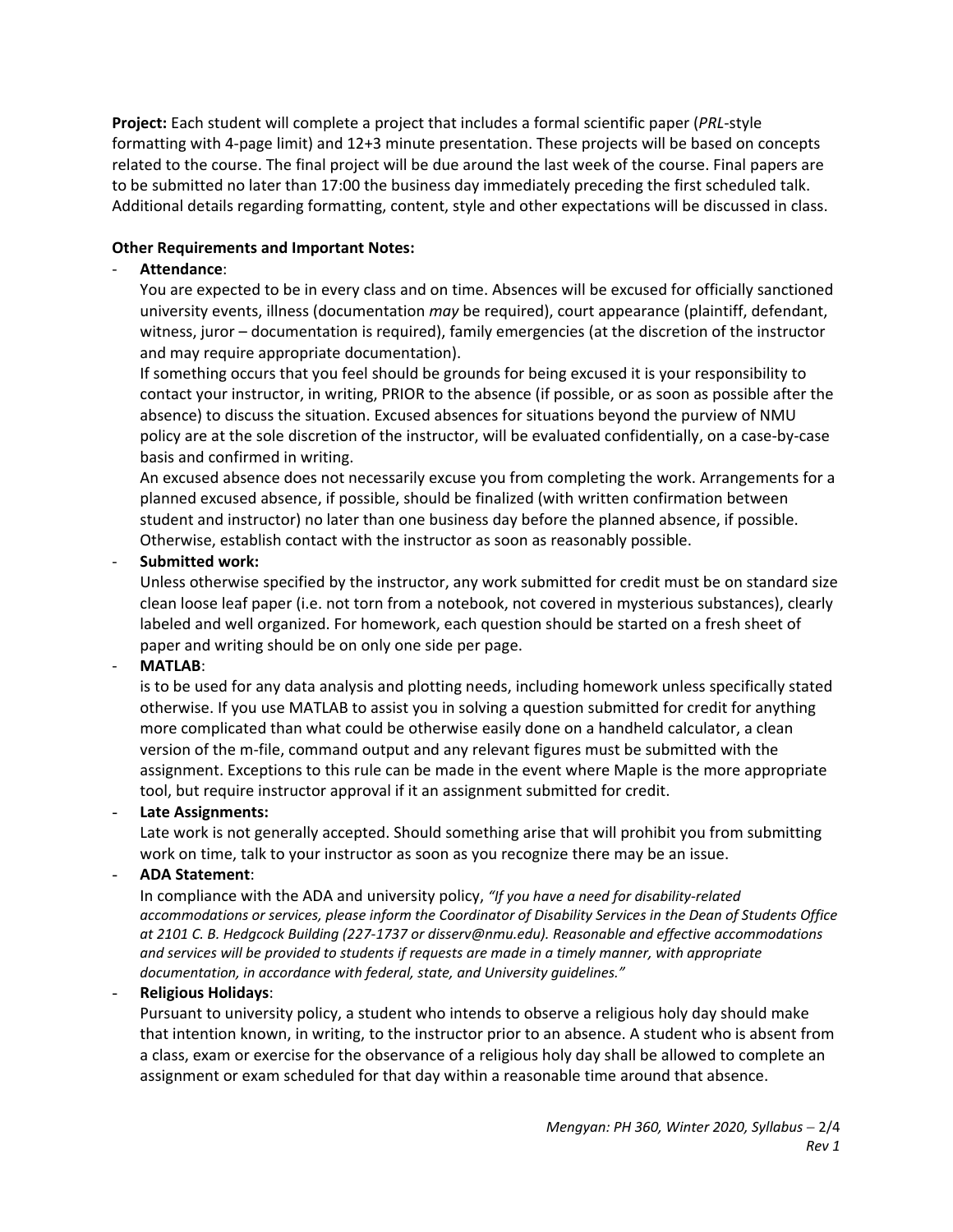**Project:** Each student will complete a project that includes a formal scientific paper (*PRL*‐style formatting with 4‐page limit) and 12+3 minute presentation. These projects will be based on concepts related to the course. The final project will be due around the last week of the course. Final papers are to be submitted no later than 17:00 the business day immediately preceding the first scheduled talk. Additional details regarding formatting, content, style and other expectations will be discussed in class.

#### **Other Requirements and Important Notes:**

## ‐ **Attendance**:

You are expected to be in every class and on time. Absences will be excused for officially sanctioned university events, illness (documentation *may* be required), court appearance (plaintiff, defendant, witness, juror – documentation is required), family emergencies (at the discretion of the instructor and may require appropriate documentation).

If something occurs that you feel should be grounds for being excused it is your responsibility to contact your instructor, in writing, PRIOR to the absence (if possible, or as soon as possible after the absence) to discuss the situation. Excused absences for situations beyond the purview of NMU policy are at the sole discretion of the instructor, will be evaluated confidentially, on a case‐by‐case basis and confirmed in writing.

An excused absence does not necessarily excuse you from completing the work. Arrangements for a planned excused absence, if possible, should be finalized (with written confirmation between student and instructor) no later than one business day before the planned absence, if possible. Otherwise, establish contact with the instructor as soon as reasonably possible.

## ‐ **Submitted work:**

Unless otherwise specified by the instructor, any work submitted for credit must be on standard size clean loose leaf paper (i.e. not torn from a notebook, not covered in mysterious substances), clearly labeled and well organized. For homework, each question should be started on a fresh sheet of paper and writing should be on only one side per page.

#### ‐ **MATLAB**:

is to be used for any data analysis and plotting needs, including homework unless specifically stated otherwise. If you use MATLAB to assist you in solving a question submitted for credit for anything more complicated than what could be otherwise easily done on a handheld calculator, a clean version of the m‐file, command output and any relevant figures must be submitted with the assignment. Exceptions to this rule can be made in the event where Maple is the more appropriate tool, but require instructor approval if it an assignment submitted for credit.

#### - **Late Assignments:**

Late work is not generally accepted. Should something arise that will prohibit you from submitting work on time, talk to your instructor as soon as you recognize there may be an issue.

# - **ADA Statement**:

In compliance with the ADA and university policy, *"If you have a need for disability‐related accommodations or services, please inform the Coordinator of Disability Services in the Dean of Students Office at 2101 C. B. Hedgcock Building (227‐1737 or disserv@nmu.edu). Reasonable and effective accommodations and services will be provided to students if requests are made in a timely manner, with appropriate documentation, in accordance with federal, state, and University guidelines."*

# - **Religious Holidays**:

Pursuant to university policy, a student who intends to observe a religious holy day should make that intention known, in writing, to the instructor prior to an absence. A student who is absent from a class, exam or exercise for the observance of a religious holy day shall be allowed to complete an assignment or exam scheduled for that day within a reasonable time around that absence.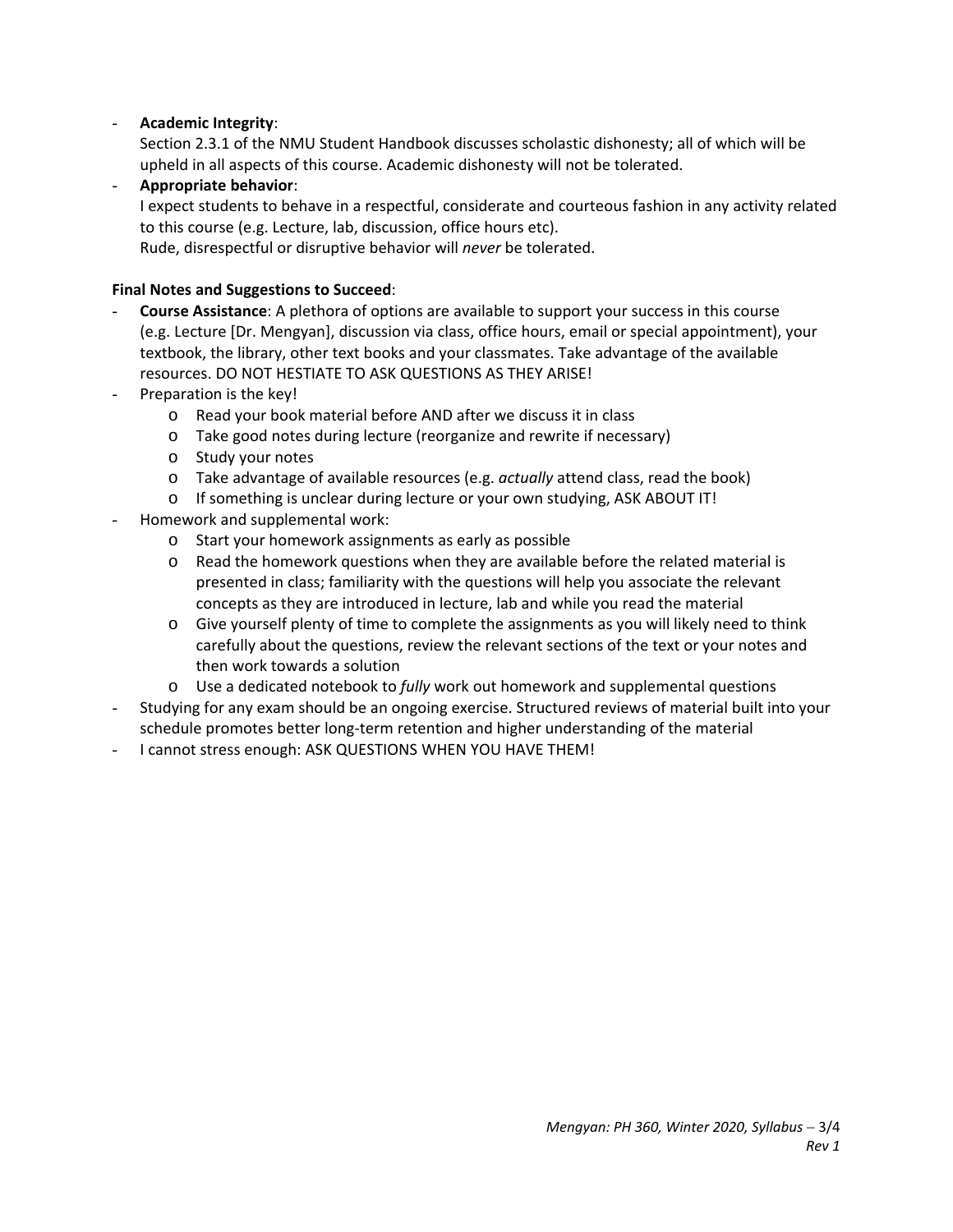## - **Academic Integrity**:

Section 2.3.1 of the NMU Student Handbook discusses scholastic dishonesty; all of which will be upheld in all aspects of this course. Academic dishonesty will not be tolerated.

- **Appropriate behavior**: I expect students to behave in a respectful, considerate and courteous fashion in any activity related to this course (e.g. Lecture, lab, discussion, office hours etc). Rude, disrespectful or disruptive behavior will *never* be tolerated.

# **Final Notes and Suggestions to Succeed**:

- **Course Assistance**: A plethora of options are available to support your success in this course (e.g. Lecture [Dr. Mengyan], discussion via class, office hours, email or special appointment), your textbook, the library, other text books and your classmates. Take advantage of the available resources. DO NOT HESTIATE TO ASK QUESTIONS AS THEY ARISE!
- Preparation is the key!
	- o Read your book material before AND after we discuss it in class
	- o Take good notes during lecture (reorganize and rewrite if necessary)
	- o Study your notes
	- o Take advantage of available resources (e.g. *actually* attend class, read the book)
	- o If something is unclear during lecture or your own studying, ASK ABOUT IT!
- Homework and supplemental work:
	- o Start your homework assignments as early as possible
	- $\circ$  Read the homework questions when they are available before the related material is presented in class; familiarity with the questions will help you associate the relevant concepts as they are introduced in lecture, lab and while you read the material
	- o Give yourself plenty of time to complete the assignments as you will likely need to think carefully about the questions, review the relevant sections of the text or your notes and then work towards a solution
	- o Use a dedicated notebook to *fully* work out homework and supplemental questions
- Studying for any exam should be an ongoing exercise. Structured reviews of material built into your schedule promotes better long‐term retention and higher understanding of the material
- I cannot stress enough: ASK QUESTIONS WHEN YOU HAVE THEM!